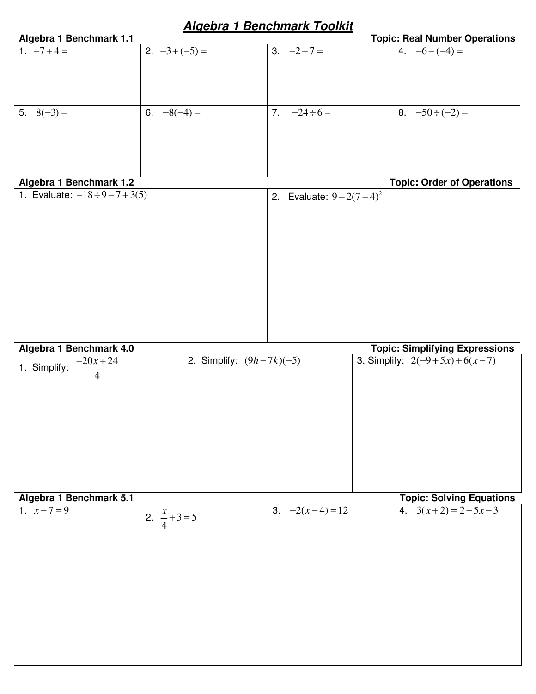# **Algebra 1 Benchmark Toolkit**

| Algebra 1 Benchmark 1.1              |                              | <u>Algebra i bellulillark Tubikit</u> | <b>Topic: Real Number Operations</b>  |
|--------------------------------------|------------------------------|---------------------------------------|---------------------------------------|
| 1. $-7+4=$                           | 2. $-3+(-5) =$               | $3. -2 - 7 =$                         | 4. $-6-(-4) =$                        |
|                                      |                              |                                       |                                       |
|                                      |                              |                                       |                                       |
|                                      |                              |                                       |                                       |
|                                      |                              |                                       |                                       |
|                                      |                              |                                       |                                       |
| 5. $8(-3) =$                         | 6. $-8(-4) =$                | 7.<br>$-24 \div 6 =$                  | 8. $-50 \div (-2) =$                  |
|                                      |                              |                                       |                                       |
|                                      |                              |                                       |                                       |
|                                      |                              |                                       |                                       |
|                                      |                              |                                       |                                       |
|                                      |                              |                                       |                                       |
| Algebra 1 Benchmark 1.2              |                              |                                       | <b>Topic: Order of Operations</b>     |
|                                      |                              |                                       |                                       |
| 1. Evaluate: $-18 \div 9 - 7 + 3(5)$ |                              | 2. Evaluate: $9 - 2(7 - 4)^2$         |                                       |
|                                      |                              |                                       |                                       |
|                                      |                              |                                       |                                       |
|                                      |                              |                                       |                                       |
|                                      |                              |                                       |                                       |
|                                      |                              |                                       |                                       |
|                                      |                              |                                       |                                       |
|                                      |                              |                                       |                                       |
|                                      |                              |                                       |                                       |
|                                      |                              |                                       |                                       |
|                                      |                              |                                       |                                       |
|                                      |                              |                                       |                                       |
|                                      |                              |                                       |                                       |
|                                      |                              |                                       |                                       |
| Algebra 1 Benchmark 4.0              |                              |                                       | <b>Topic: Simplifying Expressions</b> |
| 1. Simplify: $\frac{-20x+24}{1}$     | 2. Simplify: $(9h - 7k)(-5)$ |                                       | 3. Simplify: $2(-9+5x)+6(x-7)$        |
| 4                                    |                              |                                       |                                       |
|                                      |                              |                                       |                                       |
|                                      |                              |                                       |                                       |
|                                      |                              |                                       |                                       |
|                                      |                              |                                       |                                       |
|                                      |                              |                                       |                                       |
|                                      |                              |                                       |                                       |
|                                      |                              |                                       |                                       |
|                                      |                              |                                       |                                       |
|                                      |                              |                                       |                                       |
|                                      |                              |                                       |                                       |
|                                      |                              |                                       |                                       |
|                                      |                              |                                       |                                       |
| Algebra 1 Benchmark 5.1              |                              |                                       | <b>Topic: Solving Equations</b>       |
| 1. $x-7=9$                           |                              | 3. $-2(x-4)=12$                       | 4. $3(x+2) = 2-5x-3$                  |
|                                      | 2. $\frac{x}{4}+3=5$         |                                       |                                       |
|                                      |                              |                                       |                                       |
|                                      |                              |                                       |                                       |
|                                      |                              |                                       |                                       |
|                                      |                              |                                       |                                       |
|                                      |                              |                                       |                                       |
|                                      |                              |                                       |                                       |
|                                      |                              |                                       |                                       |
|                                      |                              |                                       |                                       |
|                                      |                              |                                       |                                       |
|                                      |                              |                                       |                                       |
|                                      |                              |                                       |                                       |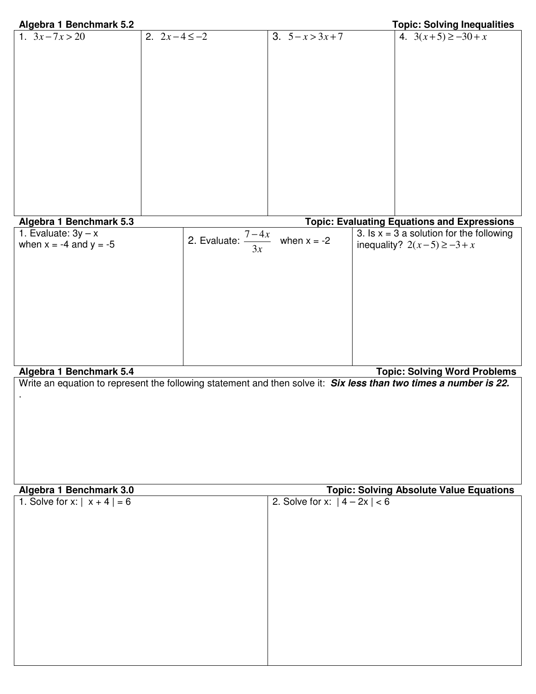| Algebra 1 Benchmark 5.2                                                                                           |                  |                        |                                | <b>Topic: Solving Inequalities</b>                 |
|-------------------------------------------------------------------------------------------------------------------|------------------|------------------------|--------------------------------|----------------------------------------------------|
| 1. $3x - 7x > 20$                                                                                                 | 2. $2x-4 \le -2$ |                        | 3. $5 - x > 3x + 7$            | 4. $3(x+5) \ge -30 + x$                            |
|                                                                                                                   |                  |                        |                                |                                                    |
|                                                                                                                   |                  |                        |                                |                                                    |
|                                                                                                                   |                  |                        |                                |                                                    |
|                                                                                                                   |                  |                        |                                |                                                    |
|                                                                                                                   |                  |                        |                                |                                                    |
|                                                                                                                   |                  |                        |                                |                                                    |
|                                                                                                                   |                  |                        |                                |                                                    |
|                                                                                                                   |                  |                        |                                |                                                    |
|                                                                                                                   |                  |                        |                                |                                                    |
|                                                                                                                   |                  |                        |                                |                                                    |
|                                                                                                                   |                  |                        |                                |                                                    |
|                                                                                                                   |                  |                        |                                |                                                    |
|                                                                                                                   |                  |                        |                                |                                                    |
| Algebra 1 Benchmark 5.3                                                                                           |                  |                        |                                | <b>Topic: Evaluating Equations and Expressions</b> |
| 1. Evaluate: $3y - x$                                                                                             |                  | $\frac{7-4x}{2}$       |                                | 3. Is $x = 3$ a solution for the following         |
| when $x = -4$ and $y = -5$                                                                                        |                  | 2. Evaluate: $-$<br>3x | when $x = -2$                  | inequality? $2(x-5) \ge -3 + x$                    |
|                                                                                                                   |                  |                        |                                |                                                    |
|                                                                                                                   |                  |                        |                                |                                                    |
|                                                                                                                   |                  |                        |                                |                                                    |
|                                                                                                                   |                  |                        |                                |                                                    |
|                                                                                                                   |                  |                        |                                |                                                    |
|                                                                                                                   |                  |                        |                                |                                                    |
|                                                                                                                   |                  |                        |                                |                                                    |
|                                                                                                                   |                  |                        |                                |                                                    |
|                                                                                                                   |                  |                        |                                |                                                    |
| Algebra 1 Benchmark 5.4                                                                                           |                  |                        |                                | <b>Topic: Solving Word Problems</b>                |
| Write an equation to represent the following statement and then solve it: Six less than two times a number is 22. |                  |                        |                                |                                                    |
|                                                                                                                   |                  |                        |                                |                                                    |
|                                                                                                                   |                  |                        |                                |                                                    |
|                                                                                                                   |                  |                        |                                |                                                    |
|                                                                                                                   |                  |                        |                                |                                                    |
|                                                                                                                   |                  |                        |                                |                                                    |
|                                                                                                                   |                  |                        |                                |                                                    |
|                                                                                                                   |                  |                        |                                |                                                    |
| Algebra 1 Benchmark 3.0                                                                                           |                  |                        |                                | <b>Topic: Solving Absolute Value Equations</b>     |
| 1. Solve for x: $  x + 4   = 6$                                                                                   |                  |                        | 2. Solve for x: $ 4 - 2x  < 6$ |                                                    |
|                                                                                                                   |                  |                        |                                |                                                    |
|                                                                                                                   |                  |                        |                                |                                                    |

| 1. Solve for $x:  x + 4  = 6$ | 2. Solve for x: $ 4 - 2x  < 6$ |
|-------------------------------|--------------------------------|
|                               |                                |
|                               |                                |
|                               |                                |
|                               |                                |
|                               |                                |
|                               |                                |
|                               |                                |
|                               |                                |
|                               |                                |
|                               |                                |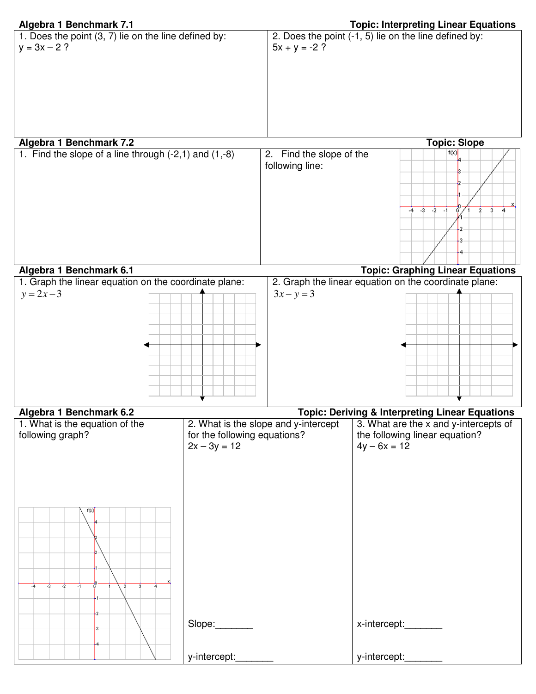|  | Algebra 1 Benchmark 7.1 |  |
|--|-------------------------|--|

| 1. Does the point (3, 7) lie on the line defined by:                                                         |                                             | 2. Does the point (-1, 5) lie on the line defined by:                                     |
|--------------------------------------------------------------------------------------------------------------|---------------------------------------------|-------------------------------------------------------------------------------------------|
| $y = 3x - 2$ ?                                                                                               | $5x + y = -2$ ?                             |                                                                                           |
| Algebra 1 Benchmark 7.2                                                                                      |                                             | <b>Topic: Slope</b>                                                                       |
| 1. Find the slope of a line through $(-2,1)$ and $(1,-8)$                                                    | 2. Find the slope of the<br>following line: | f(x)<br>$-4$ $-3$ $-2$ $-1$<br>$\overline{2}$<br>$\overline{3}$                           |
| Algebra 1 Benchmark 6.1                                                                                      |                                             | <b>Topic: Graphing Linear Equations</b>                                                   |
| 1. Graph the linear equation on the coordinate plane:<br>$y = 2x - 3$                                        | $3x - y = 3$                                | 2. Graph the linear equation on the coordinate plane:                                     |
| Algebra 1 Benchmark 6.2                                                                                      |                                             | <b>Topic: Deriving &amp; Interpreting Linear Equations</b>                                |
| 1. What is the equation of the<br>following graph?<br>for the following equations?<br>$2x - 3y = 12$<br>f(x) | 2. What is the slope and y-intercept        | 3. What are the x and y-intercepts of<br>the following linear equation?<br>$4y - 6x = 12$ |
| $-3$<br>$-2$<br>$\overline{2}$<br>$\overline{\mathbf{3}}$<br>$-1$<br>Slope<br>y-intercept:                   |                                             | x-intercept:________<br>y-intercept:                                                      |